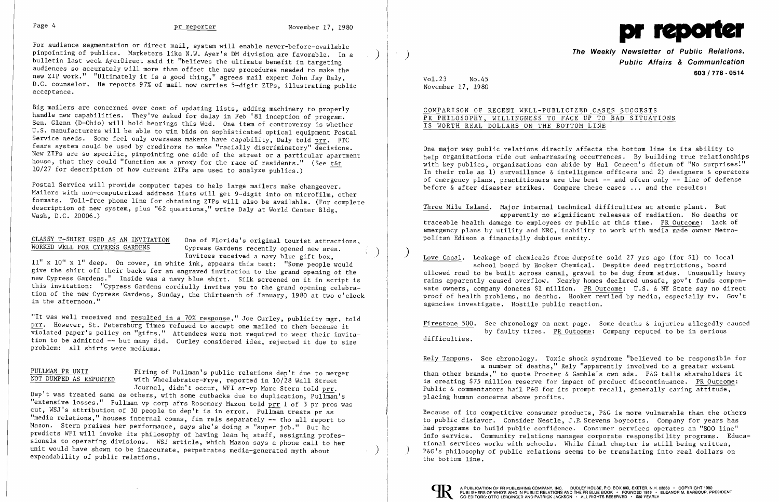For audience segmentation or direct mail, system will enable never-before-available<br>pinpointing of publics. Marketers like N.W. Ayer's DM division are favorable. In a bulletin last week AyerDirect said it "believes the ultimate benefit in targeting audiences so accurately will more than offset the new procedures needed to make the new ZIP work." "Ultimately it is a good thing," agrees mail expert John Jay Daly, D.C. counselor. He reports 97% of mail now carries 5-digit ZIPs, illustrating public accep tance.

Big mailers are concerned over cost of updating lists, adding machinery to properly handle new capabilities. They've asked for delay in Feb '81 inception of program. Sen. Glenn (D-Ohio) will hold hearings this Wed. One item of controversy is whether U.S. manufacturers will be able to win bids on sophisticated optical equipment Postal Service needs. Some feel only overseas makers have capability, Daly told prr. FTC fears system could be used by creditors to make "racially discriminatory" decisions. New ZIPs are so specific, pinpointing one side of the street or a particular apartment house, that they could "function as a proxy for the race of residents." (See t&t  $10/27$  for description of how current ZIPs are used to analyze publics.)

### PULLMAN PR UNIT NOT DUMPED AS REPORTED

Firing of Pullman's public relations dep't due to merger with Wheelabrator-Frye, reported in 10/28 Wall Street

Journal, didn't occur, WFI sr-vp Marc Stern told prr. Dep't was treated same as others, with some cutbacks due to duplication,  $Pull<sub>man</sub>'s$ "extensive losses." Pullman vp corp afrs Rosemary Mazon told prr 1 of 3 pr pros was cut, WSJ's attribution of 30 people to dep't is in error. Pullman treats pr as "media relations," houses internal comns, fin rels separately **--** tho all report to Mazon. Stern praises her performance, says she's doing a "super job." But he predicts WFI will invoke its philosophy of having lean hq staff, assigning professionals to operating divisions. WSJ article, which Mazon says a phone call to her unit would have shown to be inaccurate, perpetrates media-generated myth about expendability of public relations.

i.

Postal Service will provide computer tapes to help large mailers make changeover. Mailers with non-computerized address lists will get 9-digit info on microfilm, other formats. Toll-free phone line for obtaining ZIPs will also be available. (For complete description of new system, plus "62 questions," write Daly at World Center Bldg, Wash, D.C. 20006.)

CLASSY T-SHIRT USED AS AN INVITATION One of Florida's original tourist attractions,<br>WORKED WELL FOR CYPRESS GARDENS Cypress Gardens recently opened new area. Invitees received a navy blue gift box,

**The Weekly Newsletter of Public Relations, Public Affairs & Communication 603/718·0514**

11" x 10" x 1" deep. On cover, in white ink, appears this text: "Some people would give the shirt off their backs for an engraved invitation to the grand opening of the new Cypress Gardens." Inside was a navy blue shirt. Silk screened on it in script is this invitation: "Cypress Gardens cordially invites you to the grand opening celebration of the new Cypress Gardens, Sunday, the thirteenth of January, 1980 at two o'clock in the afternoon."

) Love Canal. Leakage of chemicals from dumpsite sold 27 yrs ago (for \$1) to local school board by Hooker Chemical. Despite deed restrictions, board allowed road to be built across canal, gravel to be dug from sides. Unusually heavy rains apparently caused overflow. Nearby homes declared unsafe, gov't funds compensate owners, company donates \$1 million. PR Outcome: U.S. & NY State say no direct proof of health problems, no deaths. Hooker reviled by media, especially tv. Gov't agencies investigate. Hostile public reaction.

"It was well received and resulted in a 70% response," Joe Curley, publicity mgr, told prr. However, St. Petersburg Times refused to accept one mailed to them because it violated paper's policy on "gifts." Attendees were not required to wear their invitation to be admitted -- but many did. Curley considered idea, rejected it due to size problem: all shirts were mediums.



Vol.23 No.45 November 17, 1980

# COMPARISON OF RECENT WELL-PUBLICIZED CASES SUGGESTS PR PHILOSOPHY, WILLINGNESS TO FACE UP TO BAD SITUATIONS IS WORTH REAL DOLLARS ON THE BOTTOM LINE

One major way public relations directly affects the bottom line is its ability to help organizations ride out embarrassing occurrences. By building true relationships with key publics, organizations can abide by Hal Geneen's dictum of "No surprises." In their role as 1) surveillance & intelligence officers and 2) designers & operators of emergency plans, practitioners are the best **--** and often only **--** line of defense before & after disaster strikes. Compare these cases **...** and the results:

Three Mile Island. Major internal technical difficulties at atomic plant. But apparently no significant releases of radiation. No deaths or traceable health damage to employees or public at this time. PR Outcome: lack of emergency plans by utility and NRC, inability to work with media made owner Metropolitan Edison a financially dubious entity.

Firestone 500. See chronology on next page. Some deaths & injuries allegedly caused by faulty tires. PR Outcome: Company reputed to be in serious difficulties.

Rely Tampons. See chronology. Toxic shock syndrome "believed to be responsible for a number of deaths," Rely "apparently involved to a greater extent than other brands," to quote Procter & Gamble's own ads. P&G tells shareholders it is creating \$75 million reserve for impact of product discontinuance. PR Outcome: Public & commentators hail P&G for its prompt recall, generally caring attitude, placing human concerns above profits.

Because of its competitive consumer products, P&G is more vulnerable than the others to public disfavor. Consider Nestle, J.P. Stevens boycotts. Company for years has had programs to build public confidence. Consumer services operates an "800 line" info service. Community relations manages corporate responsibility programs. Educa-<br>tional services works with schools. While final chapter is still being written, P&G's philosophy of public relations seems to be translating into real dollars on the bottom line.